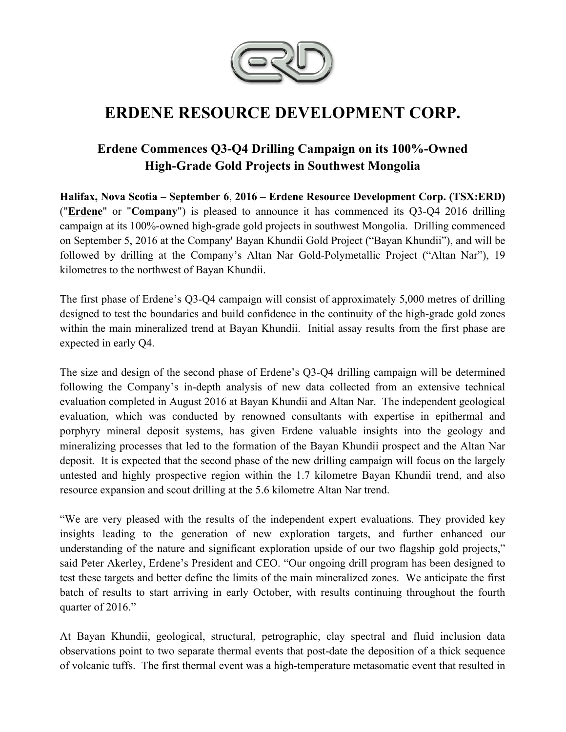

# **ERDENE RESOURCE DEVELOPMENT CORP.**

## **Erdene Commences Q3-Q4 Drilling Campaign on its 100%-Owned High-Grade Gold Projects in Southwest Mongolia**

**Halifax, Nova Scotia – September 6**, **2016 – Erdene Resource Development Corp. (TSX:ERD)**  ("**Erdene**" or "**Company**") is pleased to announce it has commenced its Q3-Q4 2016 drilling campaign at its 100%-owned high-grade gold projects in southwest Mongolia. Drilling commenced on September 5, 2016 at the Company' Bayan Khundii Gold Project ("Bayan Khundii"), and will be followed by drilling at the Company's Altan Nar Gold-Polymetallic Project ("Altan Nar"), 19 kilometres to the northwest of Bayan Khundii.

The first phase of Erdene's Q3-Q4 campaign will consist of approximately 5,000 metres of drilling designed to test the boundaries and build confidence in the continuity of the high-grade gold zones within the main mineralized trend at Bayan Khundii. Initial assay results from the first phase are expected in early Q4.

The size and design of the second phase of Erdene's Q3-Q4 drilling campaign will be determined following the Company's in-depth analysis of new data collected from an extensive technical evaluation completed in August 2016 at Bayan Khundii and Altan Nar. The independent geological evaluation, which was conducted by renowned consultants with expertise in epithermal and porphyry mineral deposit systems, has given Erdene valuable insights into the geology and mineralizing processes that led to the formation of the Bayan Khundii prospect and the Altan Nar deposit. It is expected that the second phase of the new drilling campaign will focus on the largely untested and highly prospective region within the 1.7 kilometre Bayan Khundii trend, and also resource expansion and scout drilling at the 5.6 kilometre Altan Nar trend.

"We are very pleased with the results of the independent expert evaluations. They provided key insights leading to the generation of new exploration targets, and further enhanced our understanding of the nature and significant exploration upside of our two flagship gold projects," said Peter Akerley, Erdene's President and CEO. "Our ongoing drill program has been designed to test these targets and better define the limits of the main mineralized zones. We anticipate the first batch of results to start arriving in early October, with results continuing throughout the fourth quarter of 2016."

At Bayan Khundii, geological, structural, petrographic, clay spectral and fluid inclusion data observations point to two separate thermal events that post-date the deposition of a thick sequence of volcanic tuffs. The first thermal event was a high-temperature metasomatic event that resulted in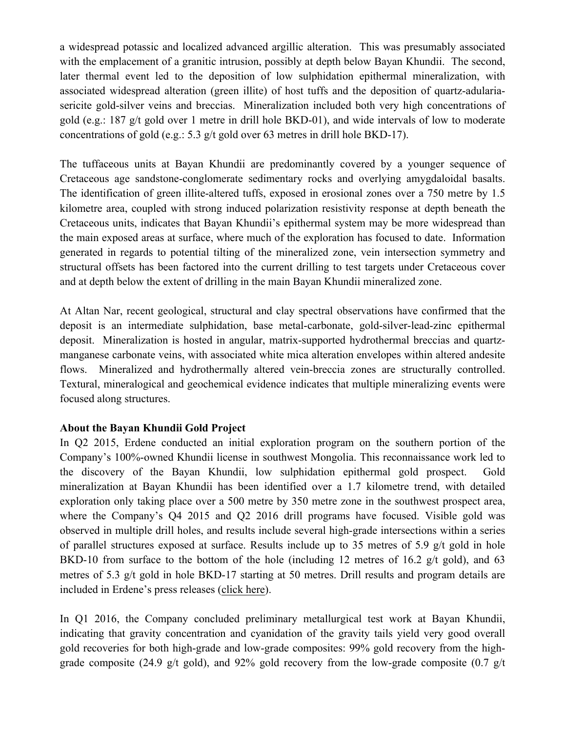a widespread potassic and localized advanced argillic alteration. This was presumably associated with the emplacement of a granitic intrusion, possibly at depth below Bayan Khundii. The second, later thermal event led to the deposition of low sulphidation epithermal mineralization, with associated widespread alteration (green illite) of host tuffs and the deposition of quartz-adulariasericite gold-silver veins and breccias. Mineralization included both very high concentrations of gold (e.g.: 187 g/t gold over 1 metre in drill hole BKD-01), and wide intervals of low to moderate concentrations of gold (e.g.: 5.3 g/t gold over 63 metres in drill hole BKD-17).

The tuffaceous units at Bayan Khundii are predominantly covered by a younger sequence of Cretaceous age sandstone-conglomerate sedimentary rocks and overlying amygdaloidal basalts. The identification of green illite-altered tuffs, exposed in erosional zones over a 750 metre by 1.5 kilometre area, coupled with strong induced polarization resistivity response at depth beneath the Cretaceous units, indicates that Bayan Khundii's epithermal system may be more widespread than the main exposed areas at surface, where much of the exploration has focused to date. Information generated in regards to potential tilting of the mineralized zone, vein intersection symmetry and structural offsets has been factored into the current drilling to test targets under Cretaceous cover and at depth below the extent of drilling in the main Bayan Khundii mineralized zone.

At Altan Nar, recent geological, structural and clay spectral observations have confirmed that the deposit is an intermediate sulphidation, base metal-carbonate, gold-silver-lead-zinc epithermal deposit. Mineralization is hosted in angular, matrix-supported hydrothermal breccias and quartzmanganese carbonate veins, with associated white mica alteration envelopes within altered andesite flows. Mineralized and hydrothermally altered vein-breccia zones are structurally controlled. Textural, mineralogical and geochemical evidence indicates that multiple mineralizing events were focused along structures.

#### **About the Bayan Khundii Gold Project**

In Q2 2015, Erdene conducted an initial exploration program on the southern portion of the Company's 100%-owned Khundii license in southwest Mongolia. This reconnaissance work led to the discovery of the Bayan Khundii, low sulphidation epithermal gold prospect. Gold mineralization at Bayan Khundii has been identified over a 1.7 kilometre trend, with detailed exploration only taking place over a 500 metre by 350 metre zone in the southwest prospect area, where the Company's Q4 2015 and Q2 2016 drill programs have focused. Visible gold was observed in multiple drill holes, and results include several high-grade intersections within a series of parallel structures exposed at surface. Results include up to 35 metres of 5.9 g/t gold in hole BKD-10 from surface to the bottom of the hole (including 12 metres of 16.2 g/t gold), and 63 metres of 5.3 g/t gold in hole BKD-17 starting at 50 metres. Drill results and program details are included in Erdene's press releases (click here).

In Q1 2016, the Company concluded preliminary metallurgical test work at Bayan Khundii, indicating that gravity concentration and cyanidation of the gravity tails yield very good overall gold recoveries for both high-grade and low-grade composites: 99% gold recovery from the highgrade composite (24.9 g/t gold), and 92% gold recovery from the low-grade composite (0.7 g/t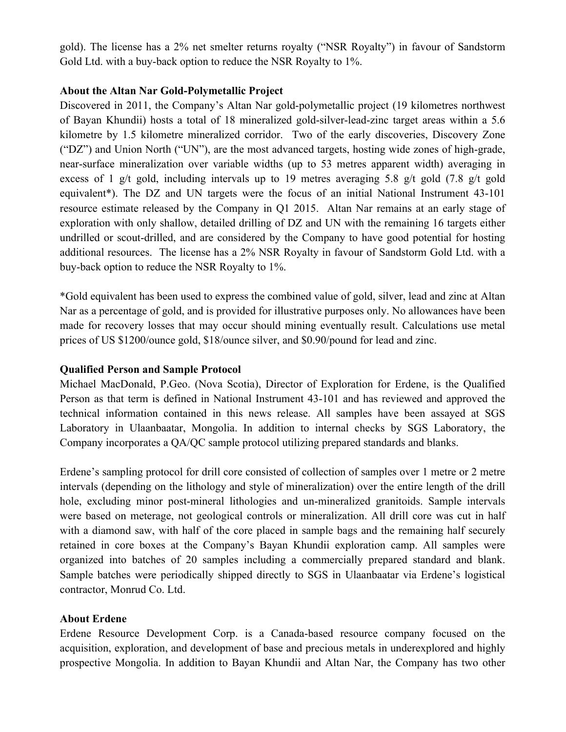gold). The license has a 2% net smelter returns royalty ("NSR Royalty") in favour of Sandstorm Gold Ltd. with a buy-back option to reduce the NSR Royalty to 1%.

#### **About the Altan Nar Gold-Polymetallic Project**

Discovered in 2011, the Company's Altan Nar gold-polymetallic project (19 kilometres northwest of Bayan Khundii) hosts a total of 18 mineralized gold-silver-lead-zinc target areas within a 5.6 kilometre by 1.5 kilometre mineralized corridor. Two of the early discoveries, Discovery Zone ("DZ") and Union North ("UN"), are the most advanced targets, hosting wide zones of high-grade, near-surface mineralization over variable widths (up to 53 metres apparent width) averaging in excess of 1 g/t gold, including intervals up to 19 metres averaging 5.8 g/t gold (7.8 g/t gold equivalent\*). The DZ and UN targets were the focus of an initial National Instrument 43-101 resource estimate released by the Company in Q1 2015. Altan Nar remains at an early stage of exploration with only shallow, detailed drilling of DZ and UN with the remaining 16 targets either undrilled or scout-drilled, and are considered by the Company to have good potential for hosting additional resources. The license has a 2% NSR Royalty in favour of Sandstorm Gold Ltd. with a buy-back option to reduce the NSR Royalty to 1%.

\*Gold equivalent has been used to express the combined value of gold, silver, lead and zinc at Altan Nar as a percentage of gold, and is provided for illustrative purposes only. No allowances have been made for recovery losses that may occur should mining eventually result. Calculations use metal prices of US \$1200/ounce gold, \$18/ounce silver, and \$0.90/pound for lead and zinc.

#### **Qualified Person and Sample Protocol**

Michael MacDonald, P.Geo. (Nova Scotia), Director of Exploration for Erdene, is the Qualified Person as that term is defined in National Instrument 43-101 and has reviewed and approved the technical information contained in this news release. All samples have been assayed at SGS Laboratory in Ulaanbaatar, Mongolia. In addition to internal checks by SGS Laboratory, the Company incorporates a QA/QC sample protocol utilizing prepared standards and blanks.

Erdene's sampling protocol for drill core consisted of collection of samples over 1 metre or 2 metre intervals (depending on the lithology and style of mineralization) over the entire length of the drill hole, excluding minor post-mineral lithologies and un-mineralized granitoids. Sample intervals were based on meterage, not geological controls or mineralization. All drill core was cut in half with a diamond saw, with half of the core placed in sample bags and the remaining half securely retained in core boxes at the Company's Bayan Khundii exploration camp. All samples were organized into batches of 20 samples including a commercially prepared standard and blank. Sample batches were periodically shipped directly to SGS in Ulaanbaatar via Erdene's logistical contractor, Monrud Co. Ltd.

#### **About Erdene**

Erdene Resource Development Corp. is a Canada-based resource company focused on the acquisition, exploration, and development of base and precious metals in underexplored and highly prospective Mongolia. In addition to Bayan Khundii and Altan Nar, the Company has two other